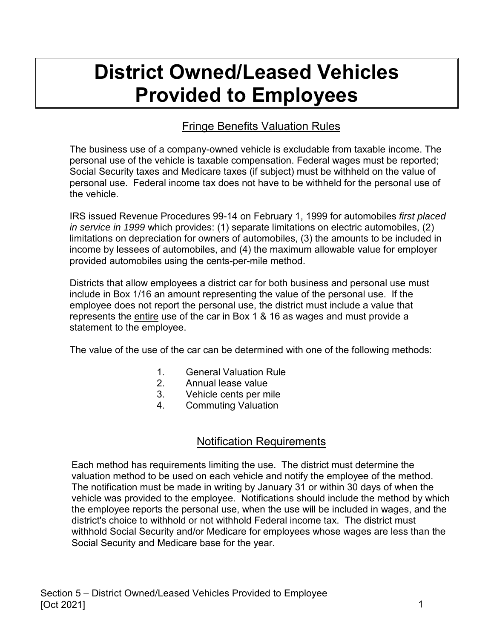# **District Owned/Leased Vehicles Provided to Employees**

## Fringe Benefits Valuation Rules

The business use of a company-owned vehicle is excludable from taxable income. The personal use of the vehicle is taxable compensation. Federal wages must be reported; Social Security taxes and Medicare taxes (if subject) must be withheld on the value of personal use. Federal income tax does not have to be withheld for the personal use of the vehicle.

IRS issued Revenue Procedures 99-14 on February 1, 1999 for automobiles *first placed in service in 1999* which provides: (1) separate limitations on electric automobiles, (2) limitations on depreciation for owners of automobiles, (3) the amounts to be included in income by lessees of automobiles, and (4) the maximum allowable value for employer provided automobiles using the cents-per-mile method.

Districts that allow employees a district car for both business and personal use must include in Box 1/16 an amount representing the value of the personal use. If the employee does not report the personal use, the district must include a value that represents the entire use of the car in Box 1 & 16 as wages and must provide a statement to the employee.

The value of the use of the car can be determined with one of the following methods:

- 1. General Valuation Rule
- 2. Annual lease value
- 3. Vehicle cents per mile
- 4. Commuting Valuation

#### Notification Requirements

Each method has requirements limiting the use. The district must determine the valuation method to be used on each vehicle and notify the employee of the method. The notification must be made in writing by January 31 or within 30 days of when the vehicle was provided to the employee. Notifications should include the method by which the employee reports the personal use, when the use will be included in wages, and the district's choice to withhold or not withhold Federal income tax. The district must withhold Social Security and/or Medicare for employees whose wages are less than the Social Security and Medicare base for the year.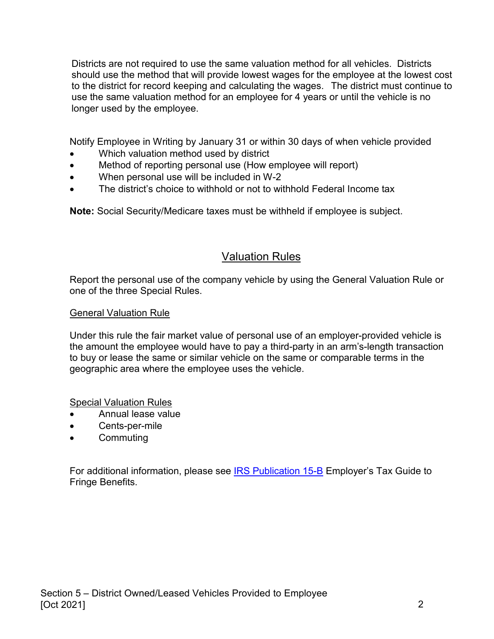Districts are not required to use the same valuation method for all vehicles. Districts should use the method that will provide lowest wages for the employee at the lowest cost to the district for record keeping and calculating the wages. The district must continue to use the same valuation method for an employee for 4 years or until the vehicle is no longer used by the employee.

Notify Employee in Writing by January 31 or within 30 days of when vehicle provided

- Which valuation method used by district
- Method of reporting personal use (How employee will report)
- When personal use will be included in W-2
- The district's choice to withhold or not to withhold Federal Income tax

**Note:** Social Security/Medicare taxes must be withheld if employee is subject.

#### Valuation Rules

Report the personal use of the company vehicle by using the General Valuation Rule or one of the three Special Rules.

#### General Valuation Rule

Under this rule the fair market value of personal use of an employer-provided vehicle is the amount the employee would have to pay a third-party in an arm's-length transaction to buy or lease the same or similar vehicle on the same or comparable terms in the geographic area where the employee uses the vehicle.

Special Valuation Rules

- Annual lease value
- Cents-per-mile
- Commuting

For additional information, please see [IRS Publication 15-B](https://www.irs.gov/pub/irs-pdf/p15b.pdf) Employer's Tax Guide to Fringe Benefits.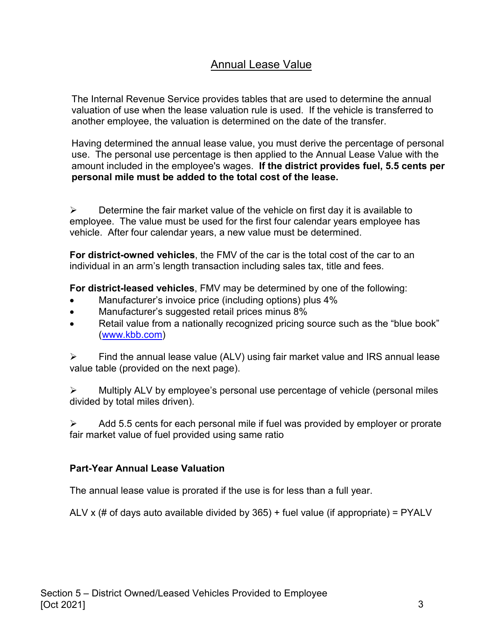## Annual Lease Value

The Internal Revenue Service provides tables that are used to determine the annual valuation of use when the lease valuation rule is used. If the vehicle is transferred to another employee, the valuation is determined on the date of the transfer.

Having determined the annual lease value, you must derive the percentage of personal use. The personal use percentage is then applied to the Annual Lease Value with the amount included in the employee's wages. **If the district provides fuel, 5.5 cents per personal mile must be added to the total cost of the lease.**

 $\triangleright$  Determine the fair market value of the vehicle on first day it is available to employee. The value must be used for the first four calendar years employee has vehicle. After four calendar years, a new value must be determined.

**For district-owned vehicles**, the FMV of the car is the total cost of the car to an individual in an arm's length transaction including sales tax, title and fees.

**For district-leased vehicles**, FMV may be determined by one of the following:

- Manufacturer's invoice price (including options) plus 4%
- Manufacturer's suggested retail prices minus 8%
- Retail value from a nationally recognized pricing source such as the "blue book" [\(www.kbb.com\)](http://www.kbb.com/)

 $\triangleright$  Find the annual lease value (ALV) using fair market value and IRS annual lease value table (provided on the next page).

 $\triangleright$  Multiply ALV by employee's personal use percentage of vehicle (personal miles divided by total miles driven).

 Add 5.5 cents for each personal mile if fuel was provided by employer or prorate fair market value of fuel provided using same ratio

#### **Part-Year Annual Lease Valuation**

The annual lease value is prorated if the use is for less than a full year.

ALV x (# of days auto available divided by  $365$ ) + fuel value (if appropriate) = PYALV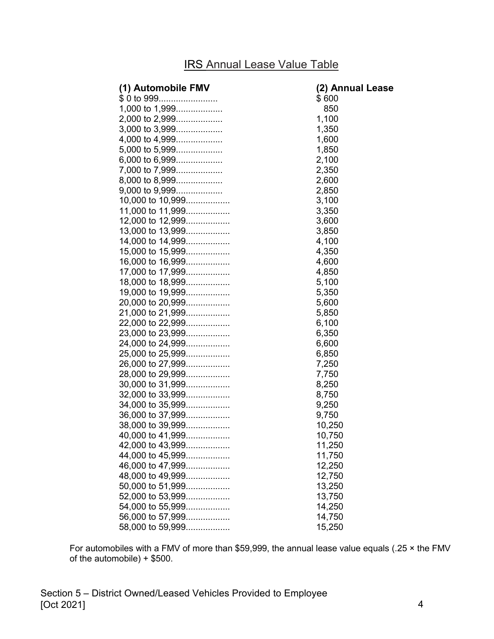# IRS Annual Lease Value Table

| (1) Automobile FMV | (2) Annual Lease |
|--------------------|------------------|
| \$0 to 999         | \$600            |
| 1,000 to 1,999     | 850              |
| 2,000 to 2,999     | 1,100            |
| 3,000 to 3,999     | 1,350            |
| 4,000 to 4,999     | 1,600            |
| 5,000 to 5,999     | 1,850            |
| 6,000 to 6,999     | 2,100            |
| 7,000 to 7,999     | 2,350            |
| 8,000 to 8,999     | 2,600            |
| 9,000 to 9,999     | 2,850            |
| 10,000 to 10,999   | 3,100            |
| 11,000 to 11,999   | 3,350            |
| 12,000 to 12,999   | 3,600            |
| 13,000 to 13,999   | 3,850            |
| 14,000 to 14,999   | 4,100            |
| 15,000 to 15,999   | 4,350            |
| 16,000 to 16,999   | 4,600            |
| 17,000 to 17,999   | 4,850            |
| 18,000 to 18,999   | 5,100            |
| 19,000 to 19,999   | 5,350            |
| 20,000 to 20,999   | 5,600            |
| 21,000 to 21,999   | 5,850            |
| 22,000 to 22,999   | 6,100            |
| 23,000 to 23,999   | 6,350            |
| 24,000 to 24,999   | 6,600            |
| 25,000 to 25,999   | 6,850            |
| 26,000 to 27,999   | 7,250            |
| 28,000 to 29,999   | 7,750            |
| 30,000 to 31,999   | 8,250            |
| 32,000 to 33,999   | 8,750            |
| 34,000 to 35,999   | 9,250            |
| 36,000 to 37,999   | 9,750            |
| 38,000 to 39,999   | 10,250           |
| 40,000 to 41,999   | 10,750           |
| 42,000 to 43,999   | 11,250           |
| 44,000 to 45,999   | 11,750           |
| 46,000 to 47,999   | 12,250           |
| 48,000 to 49,999   | 12,750           |
| 50,000 to 51,999   | 13,250           |
| 52,000 to 53,999   | 13,750           |
| 54,000 to 55,999   | 14,250           |
| 56,000 to 57,999   | 14,750           |
| 58,000 to 59,999   | 15,250           |

For automobiles with a FMV of more than \$59,999, the annual lease value equals (.25 × the FMV of the automobile) + \$500.